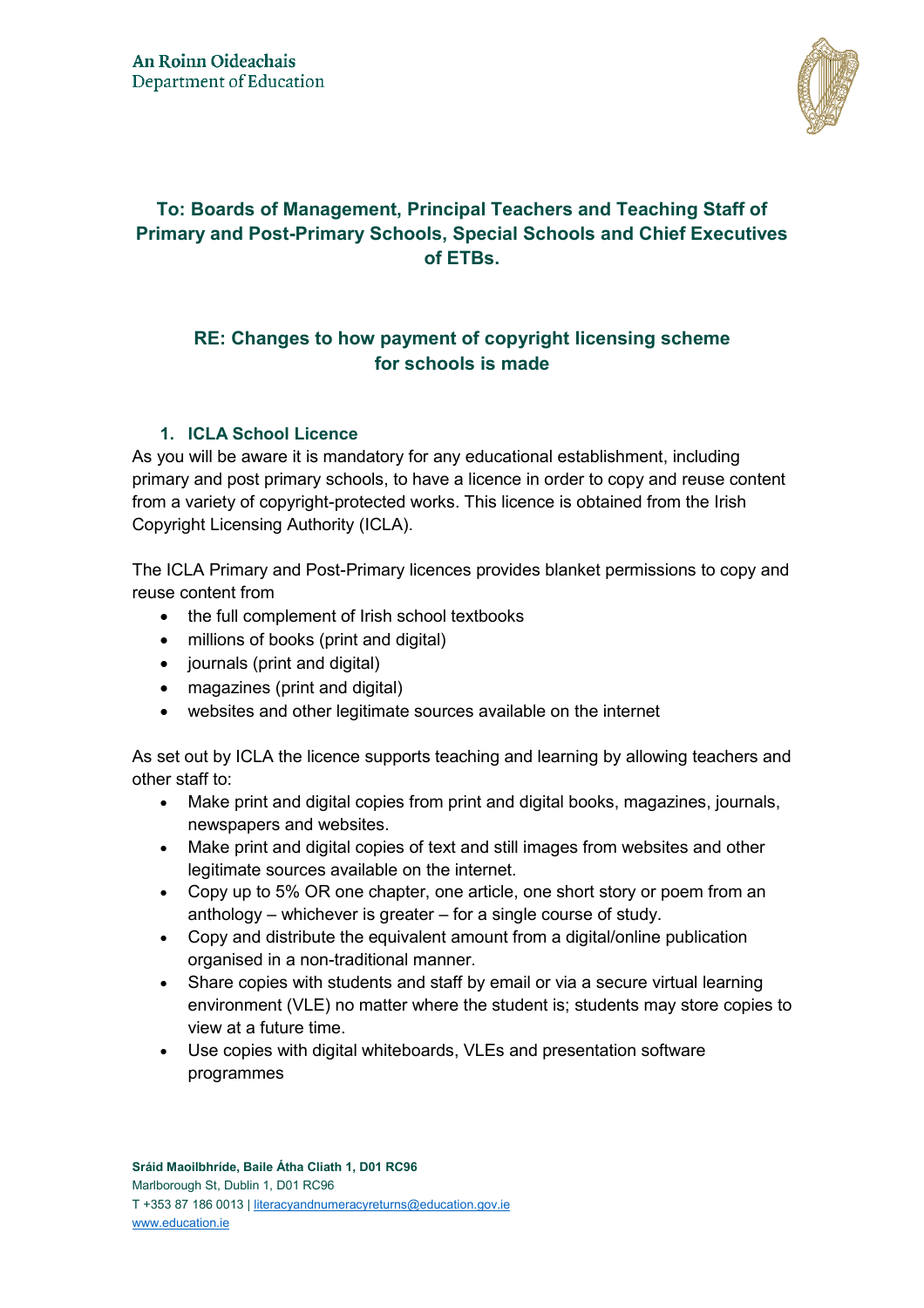

# **To: Boards of Management, Principal Teachers and Teaching Staff of Primary and Post-Primary Schools, Special Schools and Chief Executives of ETBs.**

## **RE: Changes to how payment of copyright licensing scheme for schools is made**

### **1. ICLA School Licence**

As you will be aware it is mandatory for any educational establishment, including primary and post primary schools, to have a licence in order to copy and reuse content from a variety of copyright-protected works. This licence is obtained from the Irish Copyright Licensing Authority (ICLA).

The ICLA Primary and Post-Primary licences provides blanket permissions to copy and reuse content from

- the full complement of Irish school textbooks
- millions of books (print and digital)
- journals (print and digital)
- magazines (print and digital)
- websites and other legitimate sources available on the internet

As set out by ICLA the licence supports teaching and learning by allowing teachers and other staff to:

- Make print and digital copies from print and digital books, magazines, journals, newspapers and websites.
- Make print and digital copies of text and still images from websites and other legitimate sources available on the internet.
- Copy up to 5% OR one chapter, one article, one short story or poem from an anthology – whichever is greater – for a single course of study.
- Copy and distribute the equivalent amount from a digital/online publication organised in a non-traditional manner.
- Share copies with students and staff by email or via a secure virtual learning environment (VLE) no matter where the student is; students may store copies to view at a future time.
- Use copies with digital whiteboards, VLEs and presentation software programmes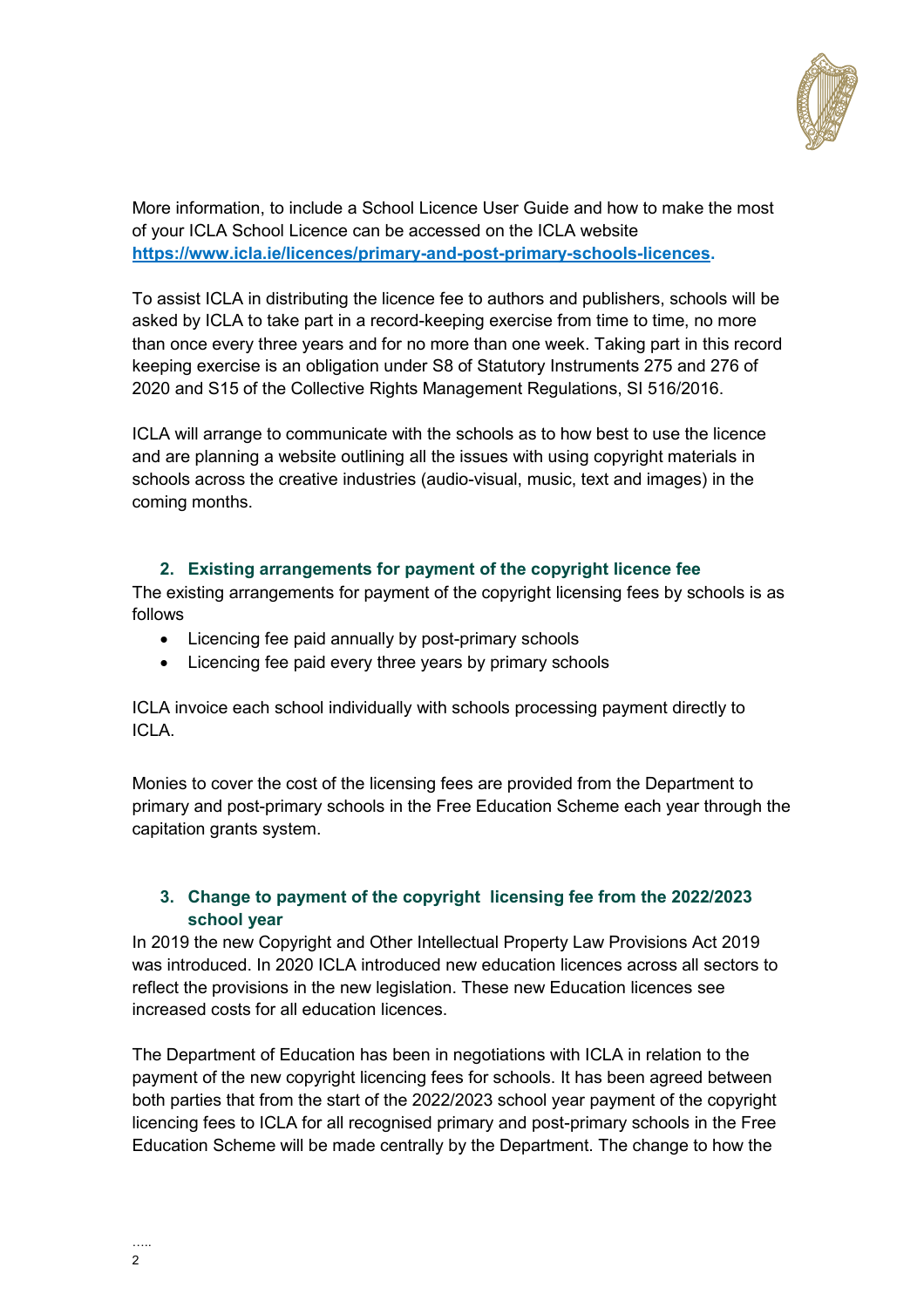

More information, to include a School Licence User Guide and how to make the most of your ICLA School Licence can be accessed on the ICLA website **[https://www.icla.ie/licences/primary-and-post-primary-schools-licences.](https://www.icla.ie/licences/primary-and-post-primary-schools-licences)**

To assist ICLA in distributing the licence fee to authors and publishers, schools will be asked by ICLA to take part in a record-keeping exercise from time to time, no more than once every three years and for no more than one week. Taking part in this record keeping exercise is an obligation under S8 of Statutory Instruments 275 and 276 of 2020 and S15 of the Collective Rights Management Regulations, SI 516/2016.

ICLA will arrange to communicate with the schools as to how best to use the licence and are planning a website outlining all the issues with using copyright materials in schools across the creative industries (audio-visual, music, text and images) in the coming months.

### **2. Existing arrangements for payment of the copyright licence fee**

The existing arrangements for payment of the copyright licensing fees by schools is as follows

- Licencing fee paid annually by post-primary schools
- Licencing fee paid every three years by primary schools

ICLA invoice each school individually with schools processing payment directly to ICLA.

Monies to cover the cost of the licensing fees are provided from the Department to primary and post-primary schools in the Free Education Scheme each year through the capitation grants system.

#### **3. Change to payment of the copyright licensing fee from the 2022/2023 school year**

In 2019 the new Copyright and Other Intellectual Property Law Provisions Act 2019 was introduced. In 2020 ICLA introduced new education licences across all sectors to reflect the provisions in the new legislation. These new Education licences see increased costs for all education licences.

The Department of Education has been in negotiations with ICLA in relation to the payment of the new copyright licencing fees for schools. It has been agreed between both parties that from the start of the 2022/2023 school year payment of the copyright licencing fees to ICLA for all recognised primary and post-primary schools in the Free Education Scheme will be made centrally by the Department. The change to how the